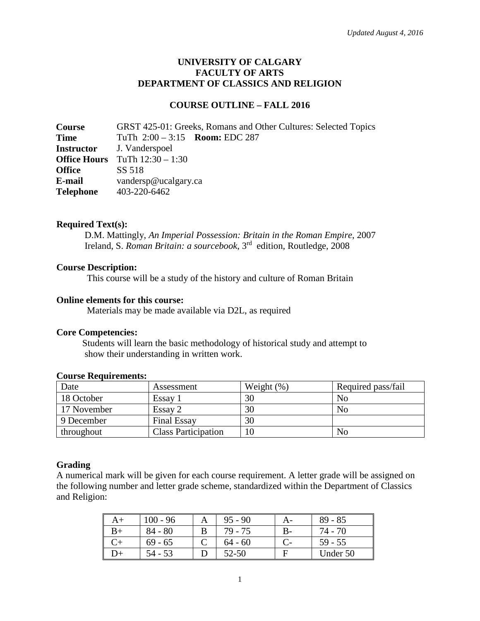## **UNIVERSITY OF CALGARY FACULTY OF ARTS DEPARTMENT OF CLASSICS AND RELIGION**

### **COURSE OUTLINE – FALL 2016**

**Course** GRST 425-01: Greeks, Romans and Other Cultures: Selected Topics **Time** TuTh 2:00 – 3:15 **Room:** EDC 287 **Instructor** J. Vanderspoel **Office Hours** TuTh  $12:30 - 1:30$ <br>**Office** SS 518 **Office E-mail** vandersp@ucalgary.ca **Telephone** 403-220-6462

### **Required Text(s):**

D.M. Mattingly, *An Imperial Possession: Britain in the Roman Empire*, 2007 Ireland, S. *Roman Britain: a sourcebook*, 3rd edition, Routledge, 2008

### **Course Description:**

This course will be a study of the history and culture of Roman Britain

#### **Online elements for this course:**

Materials may be made available via D2L, as required

#### **Core Competencies:**

 Students will learn the basic methodology of historical study and attempt to show their understanding in written work.

| Date        | Assessment                 | Weight $(\%)$ | Required pass/fail |
|-------------|----------------------------|---------------|--------------------|
| 18 October  | Essay                      | 30            | No                 |
| 17 November | Essay 2                    | 30            | No                 |
| 9 December  | <b>Final Essay</b>         | 30            |                    |
| throughout  | <b>Class Participation</b> |               | No                 |

### **Course Requirements:**

### **Grading**

A numerical mark will be given for each course requirement. A letter grade will be assigned on the following number and letter grade scheme, standardized within the Department of Classics and Religion:

|    | 100 - 96  | Α | $95 - 90$ | $89 - 85$ |
|----|-----------|---|-----------|-----------|
|    | $84 - 80$ |   | 79 - 75   | $74 - 70$ |
|    | $69 - 65$ |   | $64 - 60$ | $59 - 55$ |
| )+ | 54 - 53   |   | 52-50     | Under 50  |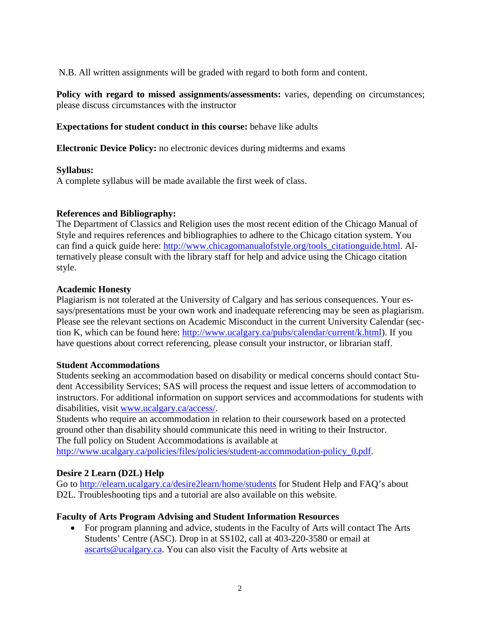N.B. All written assignments will be graded with regard to both form and content.

**Policy with regard to missed assignments/assessments:** varies, depending on circumstances; please discuss circumstances with the instructor

**Expectations for student conduct in this course:** behave like adults

**Electronic Device Policy:** no electronic devices during midterms and exams

### **Syllabus:**

A complete syllabus will be made available the first week of class.

## **References and Bibliography:**

The Department of Classics and Religion uses the most recent edition of the Chicago Manual of Style and requires references and bibliographies to adhere to the Chicago citation system. You can find a quick guide here: [http://www.chicagomanualofstyle.org/tools\\_citationguide.html.](http://www.chicagomanualofstyle.org/tools_citationguide.html) Alternatively please consult with the library staff for help and advice using the Chicago citation style.

### **Academic Honesty**

Plagiarism is not tolerated at the University of Calgary and has serious consequences. Your essays/presentations must be your own work and inadequate referencing may be seen as plagiarism. Please see the relevant sections on Academic Misconduct in the current University Calendar (section K, which can be found here: [http://www.ucalgary.ca/pubs/calendar/current/k.html\)](http://www.ucalgary.ca/pubs/calendar/current/k.html). If you have questions about correct referencing, please consult your instructor, or librarian staff.

### **Student Accommodations**

Students seeking an accommodation based on disability or medical concerns should contact Student Accessibility Services; SAS will process the request and issue letters of accommodation to instructors. For additional information on support services and accommodations for students with disabilities, visit [www.ucalgary.ca/access/.](http://www.ucalgary.ca/access/)

Students who require an accommodation in relation to their coursework based on a protected ground other than disability should communicate this need in writing to their Instructor. The full policy on Student Accommodations is available at

[http://www.ucalgary.ca/policies/files/policies/student-accommodation-policy\\_0.pdf.](http://www.ucalgary.ca/policies/files/policies/student-accommodation-policy_0.pdf)

## **Desire 2 Learn (D2L) Help**

Go to<http://elearn.ucalgary.ca/desire2learn/home/students> for Student Help and FAQ's about D2L. Troubleshooting tips and a tutorial are also available on this website.

## **Faculty of Arts Program Advising and Student Information Resources**

• For program planning and advice, students in the Faculty of Arts will contact The Arts Students' Centre (ASC). Drop in at SS102, call at 403-220-3580 or email at [ascarts@ucalgary.ca.](mailto:ascarts@ucalgary.ca) You can also visit the Faculty of Arts website at